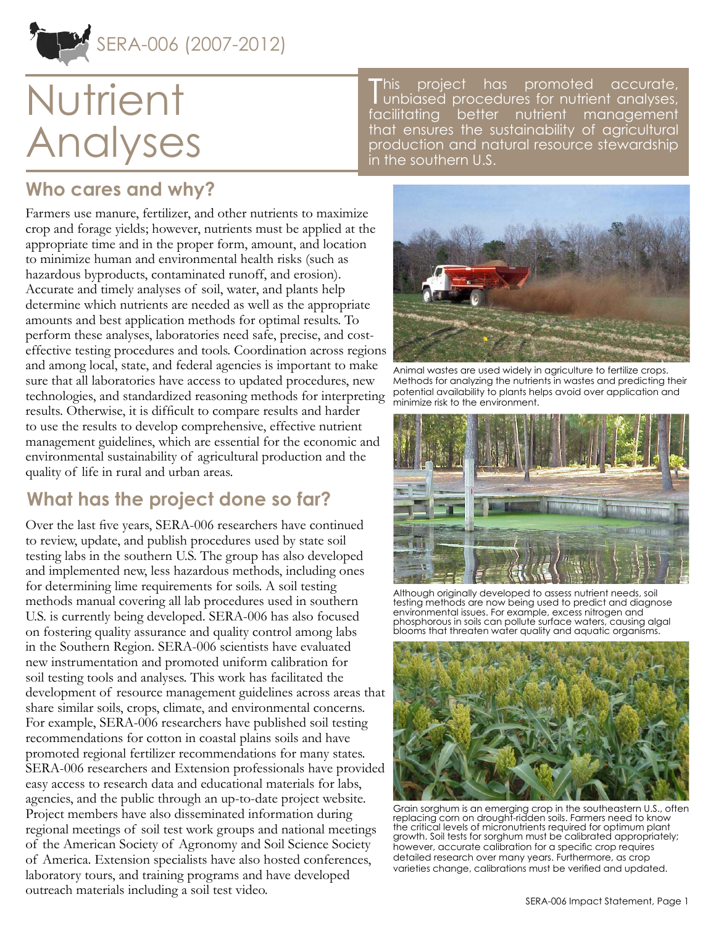

# **Nutrient** Analyses

**This** project has promoted accurate, unbiased procedures for nutrient analyses, facilitating better nutrient management that ensures the sustainability of agricultural production and natural resource stewardship in the southern U.S.

## **Who cares and why?**

Farmers use manure, fertilizer, and other nutrients to maximize crop and forage yields; however, nutrients must be applied at the appropriate time and in the proper form, amount, and location to minimize human and environmental health risks (such as hazardous byproducts, contaminated runoff, and erosion). Accurate and timely analyses of soil, water, and plants help determine which nutrients are needed as well as the appropriate amounts and best application methods for optimal results. To perform these analyses, laboratories need safe, precise, and costeffective testing procedures and tools. Coordination across regions and among local, state, and federal agencies is important to make sure that all laboratories have access to updated procedures, new technologies, and standardized reasoning methods for interpreting results. Otherwise, it is difficult to compare results and harder to use the results to develop comprehensive, effective nutrient management guidelines, which are essential for the economic and environmental sustainability of agricultural production and the quality of life in rural and urban areas.

## **What has the project done so far?**

Over the last five years, SERA-006 researchers have continued to review, update, and publish procedures used by state soil testing labs in the southern U.S. The group has also developed and implemented new, less hazardous methods, including ones for determining lime requirements for soils. A soil testing methods manual covering all lab procedures used in southern U.S. is currently being developed. SERA-006 has also focused on fostering quality assurance and quality control among labs in the Southern Region. SERA-006 scientists have evaluated new instrumentation and promoted uniform calibration for soil testing tools and analyses. This work has facilitated the development of resource management guidelines across areas that share similar soils, crops, climate, and environmental concerns. For example, SERA-006 researchers have published soil testing recommendations for cotton in coastal plains soils and have promoted regional fertilizer recommendations for many states. SERA-006 researchers and Extension professionals have provided easy access to research data and educational materials for labs, agencies, and the public through an up-to-date project website. Project members have also disseminated information during regional meetings of soil test work groups and national meetings of the American Society of Agronomy and Soil Science Society of America. Extension specialists have also hosted conferences, laboratory tours, and training programs and have developed outreach materials including a soil test video.



Animal wastes are used widely in agriculture to fertilize crops. Methods for analyzing the nutrients in wastes and predicting their potential availability to plants helps avoid over application and minimize risk to the environment.



Although originally developed to assess nutrient needs, soil testing methods are now being used to predict and diagnose environmental issues. For example, excess nitrogen and phosphorous in soils can pollute surface waters, causing algal blooms that threaten water quality and aquatic organisms.



Grain sorghum is an emerging crop in the southeastern U.S., often replacing corn on drought-ridden soils. Farmers need to know the critical levels of micronutrients required for optimum plant growth. Soil tests for sorghum must be calibrated appropriately; however, accurate calibration for a specific crop requires detailed research over many years. Furthermore, as crop varieties change, calibrations must be verified and updated.